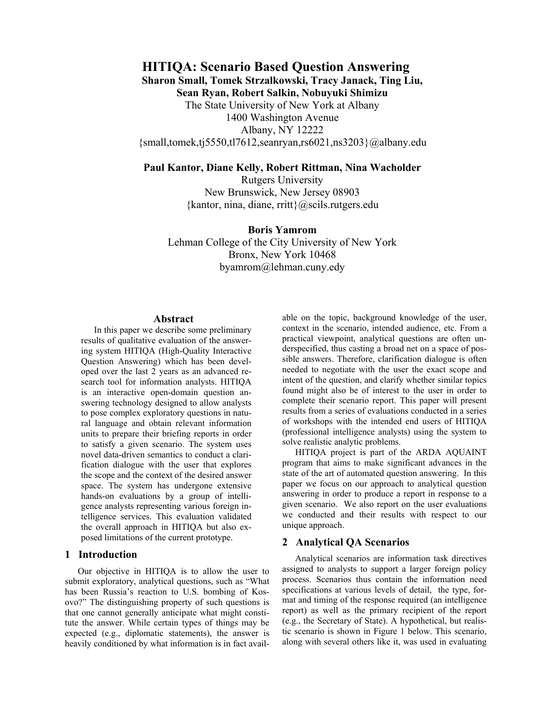**HITIQA: Scenario Based Question Answering Sharon Small, Tomek Strzalkowski, Tracy Janack, Ting Liu, Sean Ryan, Robert Salkin, Nobuyuki Shimizu**  The State University of New York at Albany 1400 Washington Avenue Albany, NY 12222  ${\rm small,}$ tomek,tj5550,tl7612,seanryan,rs6021,ns3203 $\$ @albany.edu

# **Paul Kantor, Diane Kelly, Robert Rittman, Nina Wacholder**

Rutgers University New Brunswick, New Jersey 08903  $\{kantor, nina, diane, rritt\}$  (*a*) scils. rutgers. edu

### **Boris Yamrom**

Lehman College of the City University of New York Bronx, New York 10468 byamrom@lehman.cuny.edy

### **Abstract**

In this paper we describe some preliminary results of qualitative evaluation of the answering system HITIQA (High-Quality Interactive Question Answering) which has been developed over the last 2 years as an advanced research tool for information analysts. HITIQA is an interactive open-domain question answering technology designed to allow analysts to pose complex exploratory questions in natural language and obtain relevant information units to prepare their briefing reports in order to satisfy a given scenario. The system uses novel data-driven semantics to conduct a clarification dialogue with the user that explores the scope and the context of the desired answer space. The system has undergone extensive hands-on evaluations by a group of intelligence analysts representing various foreign intelligence services. This evaluation validated the overall approach in HITIQA but also exposed limitations of the current prototype.

## **1 Introduction**

Our objective in HITIQA is to allow the user to submit exploratory, analytical questions, such as "What has been Russia's reaction to U.S. bombing of Kosovo?" The distinguishing property of such questions is that one cannot generally anticipate what might constitute the answer. While certain types of things may be expected (e.g., diplomatic statements), the answer is heavily conditioned by what information is in fact available on the topic, background knowledge of the user, context in the scenario, intended audience, etc. From a practical viewpoint, analytical questions are often underspecified, thus casting a broad net on a space of possible answers. Therefore, clarification dialogue is often needed to negotiate with the user the exact scope and intent of the question, and clarify whether similar topics found might also be of interest to the user in order to complete their scenario report. This paper will present results from a series of evaluations conducted in a series of workshops with the intended end users of HITIQA (professional intelligence analysts) using the system to solve realistic analytic problems.

HITIQA project is part of the ARDA AQUAINT program that aims to make significant advances in the state of the art of automated question answering. In this paper we focus on our approach to analytical question answering in order to produce a report in response to a given scenario. We also report on the user evaluations we conducted and their results with respect to our unique approach.

### **2 Analytical QA Scenarios**

Analytical scenarios are information task directives assigned to analysts to support a larger foreign policy process. Scenarios thus contain the information need specifications at various levels of detail, the type, format and timing of the response required (an intelligence report) as well as the primary recipient of the report (e.g., the Secretary of State). A hypothetical, but realistic scenario is shown in Figure 1 below. This scenario, along with several others like it, was used in evaluating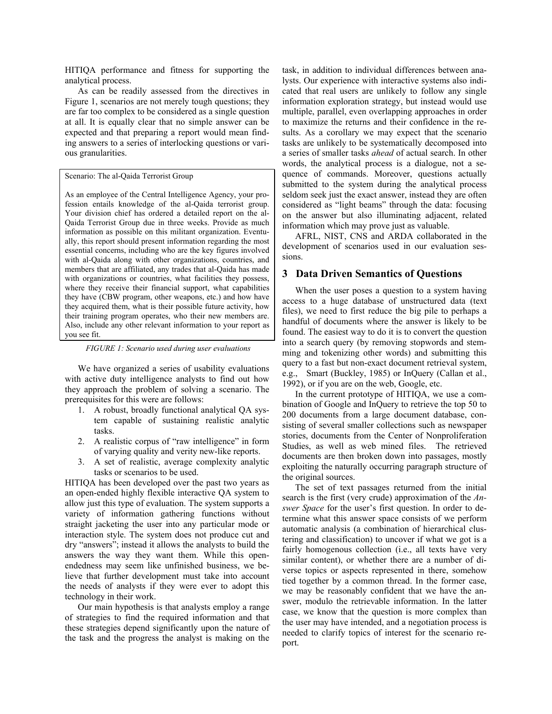HITIQA performance and fitness for supporting the analytical process.

As can be readily assessed from the directives in Figure 1, scenarios are not merely tough questions; they are far too complex to be considered as a single question at all. It is equally clear that no simple answer can be expected and that preparing a report would mean finding answers to a series of interlocking questions or various granularities.

Scenario: The al-Qaida Terrorist Group

As an employee of the Central Intelligence Agency, your profession entails knowledge of the al-Qaida terrorist group. Your division chief has ordered a detailed report on the al-Qaida Terrorist Group due in three weeks. Provide as much information as possible on this militant organization. Eventually, this report should present information regarding the most essential concerns, including who are the key figures involved with al-Qaida along with other organizations, countries, and members that are affiliated, any trades that al-Qaida has made with organizations or countries, what facilities they possess, where they receive their financial support, what capabilities they have (CBW program, other weapons, etc.) and how have they acquired them, what is their possible future activity, how their training program operates, who their new members are. Also, include any other relevant information to your report as you see fit.

*FIGURE 1: Scenario used during user evaluations* 

We have organized a series of usability evaluations with active duty intelligence analysts to find out how they approach the problem of solving a scenario. The prerequisites for this were are follows:

- 1. A robust, broadly functional analytical QA system capable of sustaining realistic analytic tasks.
- 2. A realistic corpus of "raw intelligence" in form of varying quality and verity new-like reports.
- 3. A set of realistic, average complexity analytic tasks or scenarios to be used.

HITIQA has been developed over the past two years as an open-ended highly flexible interactive QA system to allow just this type of evaluation. The system supports a variety of information gathering functions without straight jacketing the user into any particular mode or interaction style. The system does not produce cut and dry "answers"; instead it allows the analysts to build the answers the way they want them. While this openendedness may seem like unfinished business, we believe that further development must take into account the needs of analysts if they were ever to adopt this technology in their work.

Our main hypothesis is that analysts employ a range of strategies to find the required information and that these strategies depend significantly upon the nature of the task and the progress the analyst is making on the task, in addition to individual differences between analysts. Our experience with interactive systems also indicated that real users are unlikely to follow any single information exploration strategy, but instead would use multiple, parallel, even overlapping approaches in order to maximize the returns and their confidence in the results. As a corollary we may expect that the scenario tasks are unlikely to be systematically decomposed into a series of smaller tasks *ahead* of actual search. In other words, the analytical process is a dialogue, not a sequence of commands. Moreover, questions actually submitted to the system during the analytical process seldom seek just the exact answer, instead they are often considered as "light beams" through the data: focusing on the answer but also illuminating adjacent, related information which may prove just as valuable.

AFRL, NIST, CNS and ARDA collaborated in the development of scenarios used in our evaluation sessions.

# **3 Data Driven Semantics of Questions**

When the user poses a question to a system having access to a huge database of unstructured data (text files), we need to first reduce the big pile to perhaps a handful of documents where the answer is likely to be found. The easiest way to do it is to convert the question into a search query (by removing stopwords and stemming and tokenizing other words) and submitting this query to a fast but non-exact document retrieval system, e.g., Smart (Buckley, 1985) or InQuery (Callan et al., 1992), or if you are on the web, Google, etc.

In the current prototype of HITIQA, we use a combination of Google and InQuery to retrieve the top 50 to 200 documents from a large document database, consisting of several smaller collections such as newspaper stories, documents from the Center of Nonproliferation Studies, as well as web mined files. The retrieved documents are then broken down into passages, mostly exploiting the naturally occurring paragraph structure of the original sources.

The set of text passages returned from the initial search is the first (very crude) approximation of the *Answer Space* for the user's first question. In order to determine what this answer space consists of we perform automatic analysis (a combination of hierarchical clustering and classification) to uncover if what we got is a fairly homogenous collection (i.e., all texts have very similar content), or whether there are a number of diverse topics or aspects represented in there, somehow tied together by a common thread. In the former case, we may be reasonably confident that we have the answer, modulo the retrievable information. In the latter case, we know that the question is more complex than the user may have intended, and a negotiation process is needed to clarify topics of interest for the scenario report.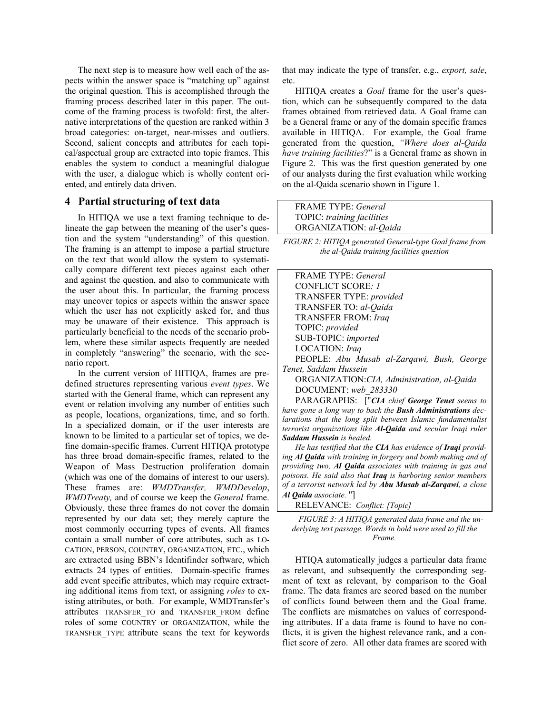The next step is to measure how well each of the aspects within the answer space is "matching up" against the original question. This is accomplished through the framing process described later in this paper. The outcome of the framing process is twofold: first, the alternative interpretations of the question are ranked within 3 broad categories: on-target, near-misses and outliers. Second, salient concepts and attributes for each topical/aspectual group are extracted into topic frames. This enables the system to conduct a meaningful dialogue with the user, a dialogue which is wholly content oriented, and entirely data driven.

#### **4 Partial structuring of text data**

In HITIQA we use a text framing technique to delineate the gap between the meaning of the user's question and the system "understanding" of this question. The framing is an attempt to impose a partial structure on the text that would allow the system to systematically compare different text pieces against each other and against the question, and also to communicate with the user about this. In particular, the framing process may uncover topics or aspects within the answer space which the user has not explicitly asked for, and thus may be unaware of their existence. This approach is particularly beneficial to the needs of the scenario problem, where these similar aspects frequently are needed in completely "answering" the scenario, with the scenario report.

In the current version of HITIQA, frames are predefined structures representing various *event types*. We started with the General frame, which can represent any event or relation involving any number of entities such as people, locations, organizations, time, and so forth. In a specialized domain, or if the user interests are known to be limited to a particular set of topics, we define domain-specific frames. Current HITIQA prototype has three broad domain-specific frames, related to the Weapon of Mass Destruction proliferation domain (which was one of the domains of interest to our users). These frames are: *WMDTransfer, WMDDevelop*, *WMDTreaty,* and of course we keep the *General* frame. Obviously, these three frames do not cover the domain represented by our data set; they merely capture the most commonly occurring types of events. All frames contain a small number of core attributes, such as LO-CATION, PERSON, COUNTRY, ORGANIZATION, ETC., which are extracted using BBN's Identifinder software, which extracts 24 types of entities. Domain-specific frames add event specific attributes, which may require extracting additional items from text, or assigning *roles* to existing attributes, or both. For example, WMDTransfer's attributes TRANSFER\_TO and TRANSFER\_FROM define roles of some COUNTRY or ORGANIZATION, while the TRANSFER\_TYPE attribute scans the text for keywords

that may indicate the type of transfer, e.g., *export, sale*, etc.

HITIQA creates a *Goal* frame for the user's question, which can be subsequently compared to the data frames obtained from retrieved data. A Goal frame can be a General frame or any of the domain specific frames available in HITIQA. For example, the Goal frame generated from the question, *"Where does al-Qaida have training facilities*?" is a General frame as shown in Figure 2. This was the first question generated by one of our analysts during the first evaluation while working on the al-Qaida scenario shown in Figure 1.

| <b>FRAME TYPE:</b> General |
|----------------------------|
| TOPIC: training facilities |
| ORGANIZATION: al-Qaida     |

*FIGURE 2: HITIQA generated General-type Goal frame from the al-Qaida training facilities question* 

| <b>FRAME TYPE</b> <i>General</i>                                     |
|----------------------------------------------------------------------|
| CONFLICT SCORE: 1                                                    |
| TRANSFER TYPE: provided                                              |
| TRANSFER TO: al-Qaida                                                |
| <b>TRANSFER FROM: Iraq</b>                                           |
| TOPIC: provided                                                      |
| SUB-TOPIC: imported                                                  |
| LOCATION: Iraq                                                       |
| PEOPLE: Abu Musab al-Zargawi, Bush, George                           |
| Tenet. Saddam Hussein                                                |
| ORGANIZATION:CIA, Administration, al-Qaida                           |
| DOCUMENT: web 283330                                                 |
| PARAGRAPHS: ["CIA chief George Tenet seems to                        |
| have gone a long way to back the <b>Bush Administrations</b> dec-    |
| larations that the long split between Islamic fundamentalist         |
| terrorist organizations like <b>Al-Qaida</b> and secular Iraqi ruler |
| <b>Saddam Hussein</b> is healed.                                     |

*He has testified that the CIA has evidence of Iraqi providing Al Qaida with training in forgery and bomb making and of providing two, Al Qaida associates with training in gas and poisons. He said also that Iraq is harboring senior members of a terrorist network led by Abu Musab al-Zarqawi, a close Al Qaida associate.* "]

RELEVANCE: *Conflict: [Topic]* 

*FIGURE 3: A HITIQA generated data frame and the underlying text passage. Words in bold were used to fill the Frame.* 

HTIQA automatically judges a particular data frame as relevant, and subsequently the corresponding segment of text as relevant, by comparison to the Goal frame. The data frames are scored based on the number of conflicts found between them and the Goal frame. The conflicts are mismatches on values of corresponding attributes. If a data frame is found to have no conflicts, it is given the highest relevance rank, and a conflict score of zero. All other data frames are scored with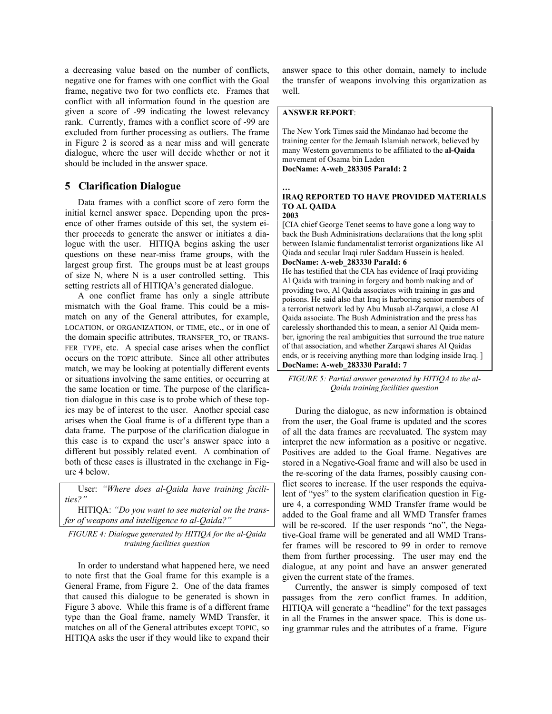a decreasing value based on the number of conflicts, negative one for frames with one conflict with the Goal frame, negative two for two conflicts etc. Frames that conflict with all information found in the question are given a score of -99 indicating the lowest relevancy rank. Currently, frames with a conflict score of -99 are excluded from further processing as outliers. The frame in Figure 2 is scored as a near miss and will generate dialogue, where the user will decide whether or not it should be included in the answer space.

## **5 Clarification Dialogue**

Data frames with a conflict score of zero form the initial kernel answer space. Depending upon the presence of other frames outside of this set, the system either proceeds to generate the answer or initiates a dialogue with the user. HITIQA begins asking the user questions on these near-miss frame groups, with the largest group first. The groups must be at least groups of size N, where N is a user controlled setting. This setting restricts all of HITIQA's generated dialogue.

A one conflict frame has only a single attribute mismatch with the Goal frame. This could be a mismatch on any of the General attributes, for example, LOCATION, or ORGANIZATION, or TIME, etc., or in one of the domain specific attributes, TRANSFER\_TO, or TRANS-FER TYPE, etc. A special case arises when the conflict occurs on the TOPIC attribute. Since all other attributes match, we may be looking at potentially different events or situations involving the same entities, or occurring at the same location or time. The purpose of the clarification dialogue in this case is to probe which of these topics may be of interest to the user. Another special case arises when the Goal frame is of a different type than a data frame. The purpose of the clarification dialogue in this case is to expand the user's answer space into a different but possibly related event. A combination of both of these cases is illustrated in the exchange in Figure 4 below.

User: *"Where does al-Qaida have training facilities?"*

HITIQA: *"Do you want to see material on the transfer of weapons and intelligence to al-Qaida?"* 

*FIGURE 4: Dialogue generated by HITIQA for the al-Qaida training facilities question* 

In order to understand what happened here, we need to note first that the Goal frame for this example is a General Frame, from Figure 2. One of the data frames that caused this dialogue to be generated is shown in Figure 3 above. While this frame is of a different frame type than the Goal frame, namely WMD Transfer, it matches on all of the General attributes except TOPIC, so HITIQA asks the user if they would like to expand their

answer space to this other domain, namely to include the transfer of weapons involving this organization as well.

#### **ANSWER REPORT**:

The New York Times said the Mindanao had become the training center for the Jemaah Islamiah network, believed by many Western governments to be affiliated to the **al-Qaida** movement of Osama bin Laden **DocName: A-web\_283305 ParaId: 2**

**… IRAQ REPORTED TO HAVE PROVIDED MATERIALS TO AL QAIDA** 

**2003**

[CIA chief George Tenet seems to have gone a long way to back the Bush Administrations declarations that the long split between Islamic fundamentalist terrorist organizations like Al Qiada and secular Iraqi ruler Saddam Hussein is healed. **DocName: A-web\_283330 ParaId: 6**

He has testified that the CIA has evidence of Iraqi providing Al Qaida with training in forgery and bomb making and of providing two, Al Qaida associates with training in gas and poisons. He said also that Iraq is harboring senior members of a terrorist network led by Abu Musab al-Zarqawi, a close Al Qaida associate. The Bush Administration and the press has carelessly shorthanded this to mean, a senior Al Qaida member, ignoring the real ambiguities that surround the true nature of that association, and whether Zarqawi shares Al Qaidas ends, or is receiving anything more than lodging inside Iraq. ] **DocName: A-web\_283330 ParaId: 7**

*FIGURE 5: Partial answer generated by HITIQA to the al-Qaida training facilities question* 

During the dialogue, as new information is obtained from the user, the Goal frame is updated and the scores of all the data frames are reevaluated. The system may interpret the new information as a positive or negative. Positives are added to the Goal frame. Negatives are stored in a Negative-Goal frame and will also be used in the re-scoring of the data frames, possibly causing conflict scores to increase. If the user responds the equivalent of "yes" to the system clarification question in Figure 4, a corresponding WMD Transfer frame would be added to the Goal frame and all WMD Transfer frames will be re-scored. If the user responds "no", the Negative-Goal frame will be generated and all WMD Transfer frames will be rescored to 99 in order to remove them from further processing. The user may end the dialogue, at any point and have an answer generated given the current state of the frames.

Currently, the answer is simply composed of text passages from the zero conflict frames. In addition, HITIQA will generate a "headline" for the text passages in all the Frames in the answer space. This is done using grammar rules and the attributes of a frame. Figure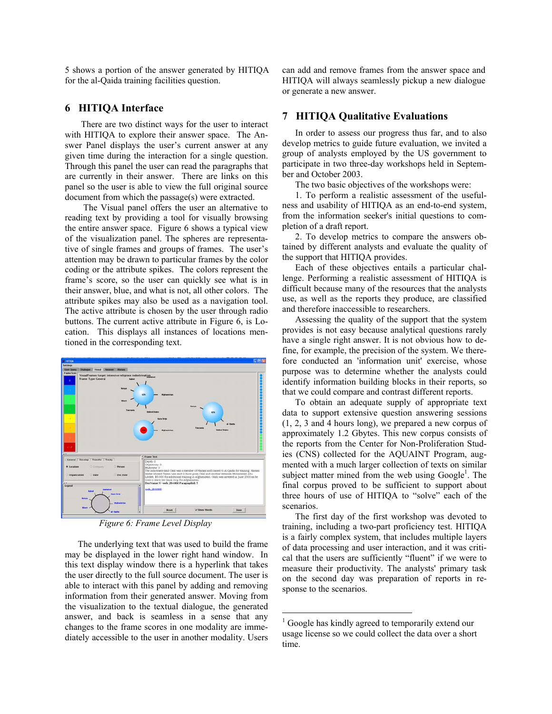5 shows a portion of the answer generated by HITIQA for the al-Qaida training facilities question.

## **6 HITIQA Interface**

There are two distinct ways for the user to interact with HITIQA to explore their answer space. The Answer Panel displays the user's current answer at any given time during the interaction for a single question. Through this panel the user can read the paragraphs that are currently in their answer. There are links on this panel so the user is able to view the full original source document from which the passage(s) were extracted.

 The Visual panel offers the user an alternative to reading text by providing a tool for visually browsing the entire answer space. Figure 6 shows a typical view of the visualization panel. The spheres are representative of single frames and groups of frames. The user's attention may be drawn to particular frames by the color coding or the attribute spikes. The colors represent the frame's score, so the user can quickly see what is in their answer, blue, and what is not, all other colors. The attribute spikes may also be used as a navigation tool. The active attribute is chosen by the user through radio buttons. The current active attribute in Figure 6, is Location. This displays all instances of locations mentioned in the corresponding text.



*Figure 6: Frame Level Display* 

The underlying text that was used to build the frame may be displayed in the lower right hand window. In this text display window there is a hyperlink that takes the user directly to the full source document. The user is able to interact with this panel by adding and removing information from their generated answer. Moving from the visualization to the textual dialogue, the generated answer, and back is seamless in a sense that any changes to the frame scores in one modality are immediately accessible to the user in another modality. Users can add and remove frames from the answer space and HITIQA will always seamlessly pickup a new dialogue or generate a new answer.

### **7 HITIQA Qualitative Evaluations**

In order to assess our progress thus far, and to also develop metrics to guide future evaluation, we invited a group of analysts employed by the US government to participate in two three-day workshops held in September and October 2003.

The two basic objectives of the workshops were:

1. To perform a realistic assessment of the usefulness and usability of HITIQA as an end-to-end system, from the information seeker's initial questions to completion of a draft report.

2. To develop metrics to compare the answers obtained by different analysts and evaluate the quality of the support that HITIQA provides.

Each of these objectives entails a particular challenge. Performing a realistic assessment of HITIQA is difficult because many of the resources that the analysts use, as well as the reports they produce, are classified and therefore inaccessible to researchers.

Assessing the quality of the support that the system provides is not easy because analytical questions rarely have a single right answer. It is not obvious how to define, for example, the precision of the system. We therefore conducted an 'information unit' exercise, whose purpose was to determine whether the analysts could identify information building blocks in their reports, so that we could compare and contrast different reports.

To obtain an adequate supply of appropriate text data to support extensive question answering sessions (1, 2, 3 and 4 hours long), we prepared a new corpus of approximately 1.2 Gbytes. This new corpus consists of the reports from the Center for Non-Proliferation Studies (CNS) collected for the AQUAINT Program, augmented with a much larger collection of texts on similar subject matter mined from the web using  $Google<sup>1</sup>$ . The final corpus proved to be sufficient to support about three hours of use of HITIQA to "solve" each of the scenarios.

The first day of the first workshop was devoted to training, including a two-part proficiency test. HITIQA is a fairly complex system, that includes multiple layers of data processing and user interaction, and it was critical that the users are sufficiently "fluent" if we were to measure their productivity. The analysts' primary task on the second day was preparation of reports in response to the scenarios.

 $\overline{a}$ 

<sup>&</sup>lt;sup>1</sup> Google has kindly agreed to temporarily extend our usage license so we could collect the data over a short time.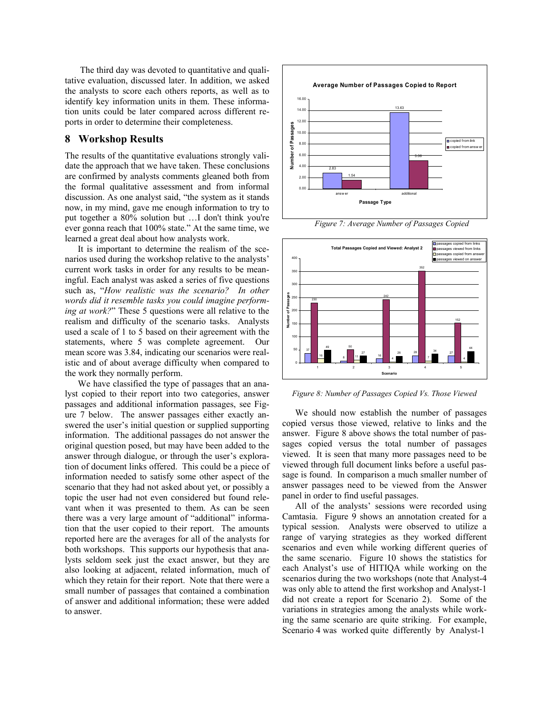The third day was devoted to quantitative and qualitative evaluation, discussed later. In addition, we asked the analysts to score each others reports, as well as to identify key information units in them. These information units could be later compared across different reports in order to determine their completeness.

### **8 Workshop Results**

The results of the quantitative evaluations strongly validate the approach that we have taken. These conclusions are confirmed by analysts comments gleaned both from the formal qualitative assessment and from informal discussion. As one analyst said, "the system as it stands now, in my mind, gave me enough information to try to put together a 80% solution but …I don't think you're ever gonna reach that 100% state." At the same time, we learned a great deal about how analysts work.

It is important to determine the realism of the scenarios used during the workshop relative to the analysts' current work tasks in order for any results to be meaningful. Each analyst was asked a series of five questions such as, "*How realistic was the scenario? In other words did it resemble tasks you could imagine performing at work?*" These 5 questions were all relative to the realism and difficulty of the scenario tasks. Analysts used a scale of 1 to 5 based on their agreement with the statements, where 5 was complete agreement. Our mean score was 3.84, indicating our scenarios were realistic and of about average difficulty when compared to the work they normally perform.

We have classified the type of passages that an analyst copied to their report into two categories, answer passages and additional information passages, see Figure 7 below. The answer passages either exactly answered the user's initial question or supplied supporting information. The additional passages do not answer the original question posed, but may have been added to the answer through dialogue, or through the user's exploration of document links offered. This could be a piece of information needed to satisfy some other aspect of the scenario that they had not asked about yet, or possibly a topic the user had not even considered but found relevant when it was presented to them. As can be seen there was a very large amount of "additional" information that the user copied to their report. The amounts reported here are the averages for all of the analysts for both workshops. This supports our hypothesis that analysts seldom seek just the exact answer, but they are also looking at adjacent, related information, much of which they retain for their report. Note that there were a small number of passages that contained a combination of answer and additional information; these were added to answer.



*Figure 7: Average Number of Passages Copied* 



*Figure 8: Number of Passages Copied Vs. Those Viewed* 

We should now establish the number of passages copied versus those viewed, relative to links and the answer. Figure 8 above shows the total number of passages copied versus the total number of passages viewed. It is seen that many more passages need to be viewed through full document links before a useful passage is found. In comparison a much smaller number of answer passages need to be viewed from the Answer panel in order to find useful passages.

All of the analysts' sessions were recorded using Camtasia. Figure 9 shows an annotation created for a typical session. Analysts were observed to utilize a range of varying strategies as they worked different scenarios and even while working different queries of the same scenario. Figure 10 shows the statistics for each Analyst's use of HITIQA while working on the scenarios during the two workshops (note that Analyst-4 was only able to attend the first workshop and Analyst-1 did not create a report for Scenario 2). Some of the variations in strategies among the analysts while working the same scenario are quite striking. For example, Scenario 4 was worked quite differently by Analyst-1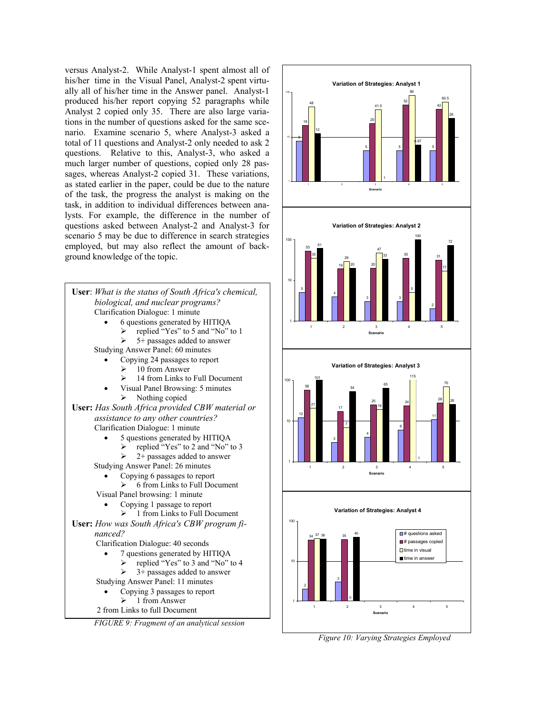versus Analyst-2. While Analyst-1 spent almost all of his/her time in the Visual Panel, Analyst-2 spent virtually all of his/her time in the Answer panel. Analyst-1 produced his/her report copying 52 paragraphs while Analyst 2 copied only 35. There are also large variations in the number of questions asked for the same scenario. Examine scenario 5, where Analyst-3 asked a total of 11 questions and Analyst-2 only needed to ask 2 questions. Relative to this, Analyst-3, who asked a much larger number of questions, copied only 28 passages, whereas Analyst-2 copied 31. These variations, as stated earlier in the paper, could be due to the nature of the task, the progress the analyst is making on the task, in addition to individual differences between analysts. For example, the difference in the number of questions asked between Analyst-2 and Analyst-3 for scenario 5 may be due to difference in search strategies employed, but may also reflect the amount of background knowledge of the topic.





*Figure 10: Varying Strategies Employed*